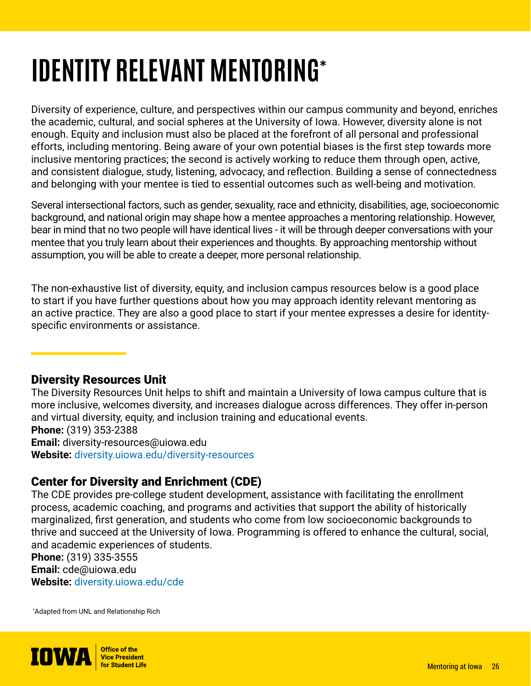# **IDENTITY RELEVANT MENTORING\***

Diversity of experience, culture, and perspectives within our campus community and beyond, enriches the academic, cultural, and social spheres at the University of Iowa. However, diversity alone is not enough. Equity and inclusion must also be placed at the forefront of all personal and professional efforts, including mentoring. Being aware of your own potential biases is the first step towards more inclusive mentoring practices; the second is actively working to reduce them through open, active, and consistent dialogue, study, listening, advocacy, and reflection. Building a sense of connectedness and belonging with your mentee is tied to essential outcomes such as well-being and motivation.

Several intersectional factors, such as gender, sexuality, race and ethnicity, disabilities, age, socioeconomic background, and national origin may shape how a mentee approaches a mentoring relationship. However, bear in mind that no two people will have identical lives - it will be through deeper conversations with your mentee that you truly learn about their experiences and thoughts. By approaching mentorship without assumption, you will be able to create a deeper, more personal relationship.

The non-exhaustive list of diversity, equity, and inclusion campus resources below is a good place to start if you have further questions about how you may approach identity relevant mentoring as an active practice. They are also a good place to start if your mentee expresses a desire for identityspecific environments or assistance.

## Diversity Resources Unit

The Diversity Resources Unit helps to shift and maintain a University of Iowa campus culture that is more inclusive, welcomes diversity, and increases dialogue across differences. They offer in-person and virtual diversity, equity, and inclusion training and educational events. **Phone:** (319) 353-2388 **Email:** diversity-resources@uiowa.edu **Website:** [diversity.uiowa.edu/diversity-resources](https://diversity.uiowa.edu/diversity-resources)

# Center for Diversity and Enrichment (CDE)

The CDE provides pre-college student development, assistance with facilitating the enrollment process, academic coaching, and programs and activities that support the ability of historically marginalized, first generation, and students who come from low socioeconomic backgrounds to thrive and succeed at the University of Iowa. Programming is offered to enhance the cultural, social, and academic experiences of students.

**Phone:** (319) 335-3555 **Email:** cde@uiowa.edu **Website:** [diversity.uiowa.edu/cde](https://diversity.uiowa.edu/cde)

\* Adapted from UNL and Relationship Rich

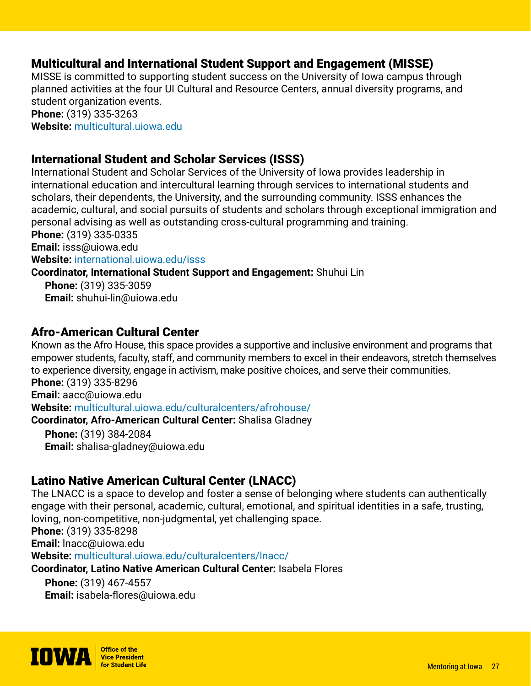## Multicultural and International Student Support and Engagement (MISSE)

MISSE is committed to supporting student success on the University of Iowa campus through planned activities at the four UI Cultural and Resource Centers, annual diversity programs, and student organization events. **Phone:** (319) 335-3263

**Website:** [multicultural.uiowa.edu](https://multicultural.uiowa.edu)

## International Student and Scholar Services (ISSS)

International Student and Scholar Services of the University of Iowa provides leadership in international education and intercultural learning through services to international students and scholars, their dependents, the University, and the surrounding community. ISSS enhances the academic, cultural, and social pursuits of students and scholars through exceptional immigration and personal advising as well as outstanding cross-cultural programming and training. **Phone:** (319) 335-0335

**Email:** isss@uiowa.edu

**Website:** [international.uiowa.edu/isss](https://international.uiowa.edu/isss)

**Coordinator, International Student Support and Engagement:** Shuhui Lin

**Phone:** (319) 335-3059 **Email:** shuhui-lin@uiowa.edu

#### Afro-American Cultural Center

Known as the Afro House, this space provides a supportive and inclusive environment and programs that empower students, faculty, staff, and community members to excel in their endeavors, stretch themselves to experience diversity, engage in activism, make positive choices, and serve their communities. **Phone:** (319) 335-8296

**Email:** aacc@uiowa.edu **Website:** [multicultural.uiowa.edu/culturalcenters/afrohouse/](https://multicultural.uiowa.edu/culturalcenters/afrohouse/) **Coordinator, Afro-American Cultural Center:** Shalisa Gladney

**Phone:** (319) 384-2084 **Email:** shalisa-gladney@uiowa.edu

## Latino Native American Cultural Center (LNACC)

The LNACC is a space to develop and foster a sense of belonging where students can authentically engage with their personal, academic, cultural, emotional, and spiritual identities in a safe, trusting, loving, non-competitive, non-judgmental, yet challenging space. **Phone:** (319) 335-8298

**Email:** lnacc@uiowa.edu

**Website:** [multicultural.uiowa.edu/culturalcenters/lnacc/](https://multicultural.uiowa.edu/culturalcenters/lnacc/)

**Coordinator, Latino Native American Cultural Center:** Isabela Flores

**Phone:** (319) 467-4557 **Email:** isabela-flores@uiowa.edu